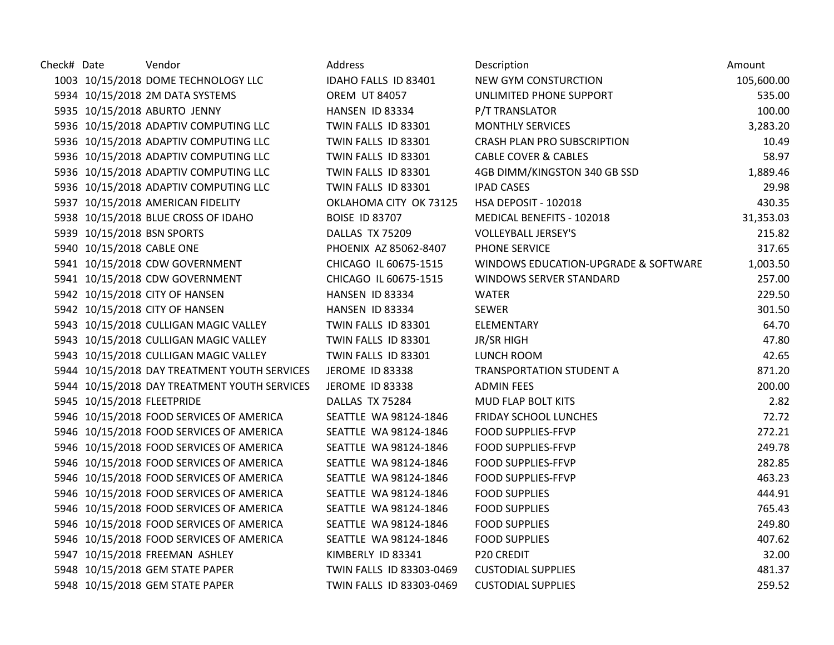| Check# Date |                            | Vendor                                       | Address                  | Description                          | Amount     |
|-------------|----------------------------|----------------------------------------------|--------------------------|--------------------------------------|------------|
|             |                            | 1003 10/15/2018 DOME TECHNOLOGY LLC          | IDAHO FALLS ID 83401     | NEW GYM CONSTURCTION                 | 105,600.00 |
|             |                            | 5934 10/15/2018 2M DATA SYSTEMS              | <b>OREM UT 84057</b>     | UNLIMITED PHONE SUPPORT              | 535.00     |
|             |                            | 5935 10/15/2018 ABURTO JENNY                 | HANSEN ID 83334          | <b>P/T TRANSLATOR</b>                | 100.00     |
|             |                            | 5936 10/15/2018 ADAPTIV COMPUTING LLC        | TWIN FALLS ID 83301      | <b>MONTHLY SERVICES</b>              | 3,283.20   |
|             |                            | 5936 10/15/2018 ADAPTIV COMPUTING LLC        | TWIN FALLS ID 83301      | <b>CRASH PLAN PRO SUBSCRIPTION</b>   | 10.49      |
|             |                            | 5936 10/15/2018 ADAPTIV COMPUTING LLC        | TWIN FALLS ID 83301      | <b>CABLE COVER &amp; CABLES</b>      | 58.97      |
|             |                            | 5936 10/15/2018 ADAPTIV COMPUTING LLC        | TWIN FALLS ID 83301      | 4GB DIMM/KINGSTON 340 GB SSD         | 1,889.46   |
|             |                            | 5936 10/15/2018 ADAPTIV COMPUTING LLC        | TWIN FALLS ID 83301      | <b>IPAD CASES</b>                    | 29.98      |
|             |                            | 5937 10/15/2018 AMERICAN FIDELITY            | OKLAHOMA CITY OK 73125   | HSA DEPOSIT - 102018                 | 430.35     |
|             |                            | 5938 10/15/2018 BLUE CROSS OF IDAHO          | <b>BOISE ID 83707</b>    | MEDICAL BENEFITS - 102018            | 31,353.03  |
|             |                            | 5939 10/15/2018 BSN SPORTS                   | DALLAS TX 75209          | <b>VOLLEYBALL JERSEY'S</b>           | 215.82     |
|             | 5940 10/15/2018 CABLE ONE  |                                              | PHOENIX AZ 85062-8407    | PHONE SERVICE                        | 317.65     |
|             |                            | 5941 10/15/2018 CDW GOVERNMENT               | CHICAGO IL 60675-1515    | WINDOWS EDUCATION-UPGRADE & SOFTWARE | 1,003.50   |
|             |                            | 5941 10/15/2018 CDW GOVERNMENT               | CHICAGO IL 60675-1515    | WINDOWS SERVER STANDARD              | 257.00     |
|             |                            | 5942 10/15/2018 CITY OF HANSEN               | HANSEN ID 83334          | <b>WATER</b>                         | 229.50     |
|             |                            | 5942 10/15/2018 CITY OF HANSEN               | HANSEN ID 83334          | <b>SEWER</b>                         | 301.50     |
|             |                            | 5943 10/15/2018 CULLIGAN MAGIC VALLEY        | TWIN FALLS ID 83301      | ELEMENTARY                           | 64.70      |
|             |                            | 5943 10/15/2018 CULLIGAN MAGIC VALLEY        | TWIN FALLS ID 83301      | JR/SR HIGH                           | 47.80      |
|             |                            | 5943 10/15/2018 CULLIGAN MAGIC VALLEY        | TWIN FALLS ID 83301      | LUNCH ROOM                           | 42.65      |
|             |                            | 5944 10/15/2018 DAY TREATMENT YOUTH SERVICES | <b>JEROME ID 83338</b>   | <b>TRANSPORTATION STUDENT A</b>      | 871.20     |
|             |                            | 5944 10/15/2018 DAY TREATMENT YOUTH SERVICES | JEROME ID 83338          | <b>ADMIN FEES</b>                    | 200.00     |
|             | 5945 10/15/2018 FLEETPRIDE |                                              | DALLAS TX 75284          | MUD FLAP BOLT KITS                   | 2.82       |
|             |                            | 5946 10/15/2018 FOOD SERVICES OF AMERICA     | SEATTLE WA 98124-1846    | <b>FRIDAY SCHOOL LUNCHES</b>         | 72.72      |
|             |                            | 5946 10/15/2018 FOOD SERVICES OF AMERICA     | SEATTLE WA 98124-1846    | <b>FOOD SUPPLIES-FFVP</b>            | 272.21     |
|             |                            | 5946 10/15/2018 FOOD SERVICES OF AMERICA     | SEATTLE WA 98124-1846    | <b>FOOD SUPPLIES-FFVP</b>            | 249.78     |
|             |                            | 5946 10/15/2018 FOOD SERVICES OF AMERICA     | SEATTLE WA 98124-1846    | <b>FOOD SUPPLIES-FFVP</b>            | 282.85     |
|             |                            | 5946 10/15/2018 FOOD SERVICES OF AMERICA     | SEATTLE WA 98124-1846    | <b>FOOD SUPPLIES-FFVP</b>            | 463.23     |
|             |                            | 5946 10/15/2018 FOOD SERVICES OF AMERICA     | SEATTLE WA 98124-1846    | <b>FOOD SUPPLIES</b>                 | 444.91     |
|             |                            | 5946 10/15/2018 FOOD SERVICES OF AMERICA     | SEATTLE WA 98124-1846    | <b>FOOD SUPPLIES</b>                 | 765.43     |
|             |                            | 5946 10/15/2018 FOOD SERVICES OF AMERICA     | SEATTLE WA 98124-1846    | <b>FOOD SUPPLIES</b>                 | 249.80     |
|             |                            | 5946 10/15/2018 FOOD SERVICES OF AMERICA     | SEATTLE WA 98124-1846    | <b>FOOD SUPPLIES</b>                 | 407.62     |
|             |                            | 5947 10/15/2018 FREEMAN ASHLEY               | KIMBERLY ID 83341        | P20 CREDIT                           | 32.00      |
|             |                            | 5948 10/15/2018 GEM STATE PAPER              | TWIN FALLS ID 83303-0469 | <b>CUSTODIAL SUPPLIES</b>            | 481.37     |
|             |                            | 5948 10/15/2018 GEM STATE PAPER              | TWIN FALLS ID 83303-0469 | <b>CUSTODIAL SUPPLIES</b>            | 259.52     |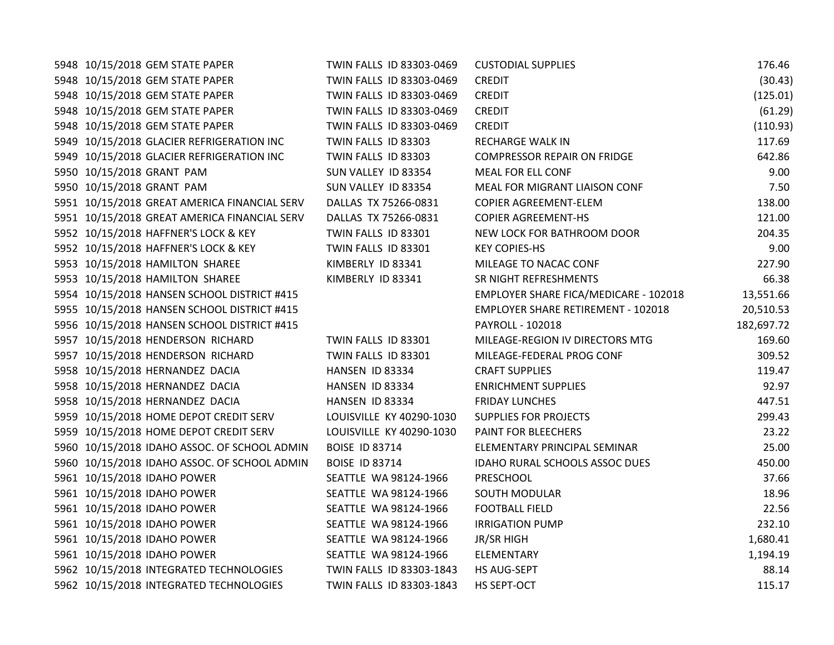| 5948 10/15/2018 GEM STATE PAPER              | TWIN FALLS ID 83303-0469 | <b>CUSTODIAL SUPPLIES</b>                 | 176.46     |
|----------------------------------------------|--------------------------|-------------------------------------------|------------|
| 5948 10/15/2018 GEM STATE PAPER              | TWIN FALLS ID 83303-0469 | <b>CREDIT</b>                             | (30.43)    |
| 5948 10/15/2018 GEM STATE PAPER              | TWIN FALLS ID 83303-0469 | <b>CREDIT</b>                             | (125.01)   |
| 5948 10/15/2018 GEM STATE PAPER              | TWIN FALLS ID 83303-0469 | <b>CREDIT</b>                             | (61.29)    |
| 5948 10/15/2018 GEM STATE PAPER              | TWIN FALLS ID 83303-0469 | <b>CREDIT</b>                             | (110.93)   |
| 5949 10/15/2018 GLACIER REFRIGERATION INC    | TWIN FALLS ID 83303      | RECHARGE WALK IN                          | 117.69     |
| 5949 10/15/2018 GLACIER REFRIGERATION INC    | TWIN FALLS ID 83303      | <b>COMPRESSOR REPAIR ON FRIDGE</b>        | 642.86     |
| 5950 10/15/2018 GRANT PAM                    | SUN VALLEY ID 83354      | MEAL FOR ELL CONF                         | 9.00       |
| 5950 10/15/2018 GRANT PAM                    | SUN VALLEY ID 83354      | MEAL FOR MIGRANT LIAISON CONF             | 7.50       |
| 5951 10/15/2018 GREAT AMERICA FINANCIAL SERV | DALLAS TX 75266-0831     | COPIER AGREEMENT-ELEM                     | 138.00     |
| 5951 10/15/2018 GREAT AMERICA FINANCIAL SERV | DALLAS TX 75266-0831     | <b>COPIER AGREEMENT-HS</b>                | 121.00     |
| 5952 10/15/2018 HAFFNER'S LOCK & KEY         | TWIN FALLS ID 83301      | NEW LOCK FOR BATHROOM DOOR                | 204.35     |
| 5952 10/15/2018 HAFFNER'S LOCK & KEY         | TWIN FALLS ID 83301      | <b>KEY COPIES-HS</b>                      | 9.00       |
| 5953 10/15/2018 HAMILTON SHAREE              | KIMBERLY ID 83341        | MILEAGE TO NACAC CONF                     | 227.90     |
| 5953 10/15/2018 HAMILTON SHAREE              | KIMBERLY ID 83341        | SR NIGHT REFRESHMENTS                     | 66.38      |
| 5954 10/15/2018 HANSEN SCHOOL DISTRICT #415  |                          | EMPLOYER SHARE FICA/MEDICARE - 102018     | 13,551.66  |
| 5955 10/15/2018 HANSEN SCHOOL DISTRICT #415  |                          | <b>EMPLOYER SHARE RETIREMENT - 102018</b> | 20,510.53  |
| 5956 10/15/2018 HANSEN SCHOOL DISTRICT #415  |                          | PAYROLL - 102018                          | 182,697.72 |
| 5957 10/15/2018 HENDERSON RICHARD            | TWIN FALLS ID 83301      | MILEAGE-REGION IV DIRECTORS MTG           | 169.60     |
| 5957 10/15/2018 HENDERSON RICHARD            | TWIN FALLS ID 83301      | MILEAGE-FEDERAL PROG CONF                 | 309.52     |
| 5958 10/15/2018 HERNANDEZ DACIA              | HANSEN ID 83334          | <b>CRAFT SUPPLIES</b>                     | 119.47     |
| 5958 10/15/2018 HERNANDEZ DACIA              | HANSEN ID 83334          | <b>ENRICHMENT SUPPLIES</b>                | 92.97      |
| 5958 10/15/2018 HERNANDEZ DACIA              | HANSEN ID 83334          | <b>FRIDAY LUNCHES</b>                     | 447.51     |
| 5959 10/15/2018 HOME DEPOT CREDIT SERV       | LOUISVILLE KY 40290-1030 | <b>SUPPLIES FOR PROJECTS</b>              | 299.43     |
| 5959 10/15/2018 HOME DEPOT CREDIT SERV       | LOUISVILLE KY 40290-1030 | PAINT FOR BLEECHERS                       | 23.22      |
| 5960 10/15/2018 IDAHO ASSOC. OF SCHOOL ADMIN | <b>BOISE ID 83714</b>    | ELEMENTARY PRINCIPAL SEMINAR              | 25.00      |
| 5960 10/15/2018 IDAHO ASSOC. OF SCHOOL ADMIN | <b>BOISE ID 83714</b>    | IDAHO RURAL SCHOOLS ASSOC DUES            | 450.00     |
| 5961 10/15/2018 IDAHO POWER                  | SEATTLE WA 98124-1966    | PRESCHOOL                                 | 37.66      |
| 5961 10/15/2018 IDAHO POWER                  | SEATTLE WA 98124-1966    | <b>SOUTH MODULAR</b>                      | 18.96      |
| 5961 10/15/2018 IDAHO POWER                  | SEATTLE WA 98124-1966    | <b>FOOTBALL FIELD</b>                     | 22.56      |
| 5961 10/15/2018 IDAHO POWER                  | SEATTLE WA 98124-1966    | <b>IRRIGATION PUMP</b>                    | 232.10     |
| 5961 10/15/2018 IDAHO POWER                  | SEATTLE WA 98124-1966    | JR/SR HIGH                                | 1,680.41   |
| 5961 10/15/2018 IDAHO POWER                  | SEATTLE WA 98124-1966    | ELEMENTARY                                | 1,194.19   |
| 5962 10/15/2018 INTEGRATED TECHNOLOGIES      | TWIN FALLS ID 83303-1843 | HS AUG-SEPT                               | 88.14      |
| 5962 10/15/2018 INTEGRATED TECHNOLOGIES      | TWIN FALLS ID 83303-1843 | HS SEPT-OCT                               | 115.17     |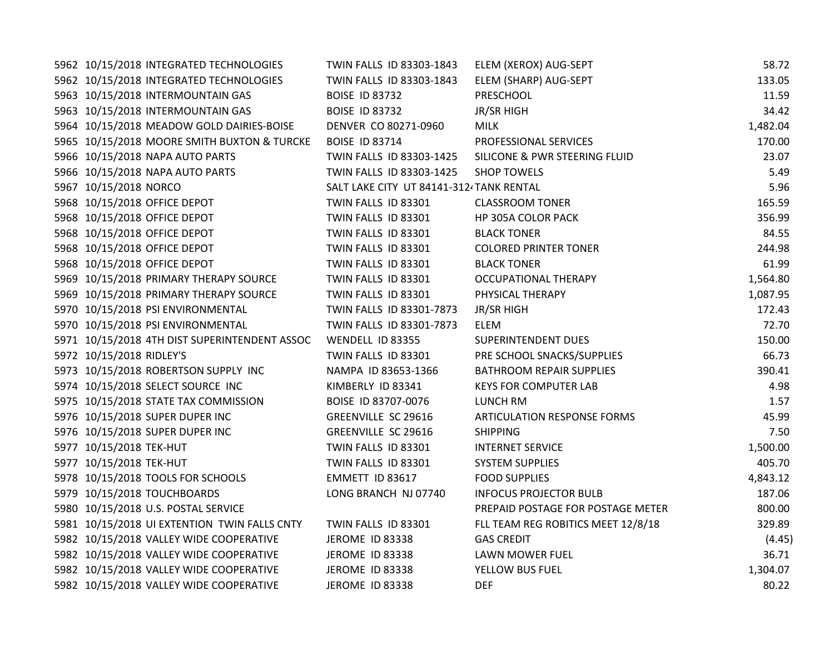| 5962 10/15/2018 INTEGRATED TECHNOLOGIES       | TWIN FALLS ID 83303-1843                | ELEM (XEROX) AUG-SEPT              | 58.72    |
|-----------------------------------------------|-----------------------------------------|------------------------------------|----------|
| 5962 10/15/2018 INTEGRATED TECHNOLOGIES       | TWIN FALLS ID 83303-1843                | ELEM (SHARP) AUG-SEPT              | 133.05   |
| 5963 10/15/2018 INTERMOUNTAIN GAS             | <b>BOISE ID 83732</b>                   | PRESCHOOL                          | 11.59    |
| 5963 10/15/2018 INTERMOUNTAIN GAS             | <b>BOISE ID 83732</b>                   | JR/SR HIGH                         | 34.42    |
| 5964 10/15/2018 MEADOW GOLD DAIRIES-BOISE     | DENVER CO 80271-0960                    | <b>MILK</b>                        | 1,482.04 |
| 5965 10/15/2018 MOORE SMITH BUXTON & TURCKE   | <b>BOISE ID 83714</b>                   | PROFESSIONAL SERVICES              | 170.00   |
| 5966 10/15/2018 NAPA AUTO PARTS               | TWIN FALLS ID 83303-1425                | SILICONE & PWR STEERING FLUID      | 23.07    |
| 5966 10/15/2018 NAPA AUTO PARTS               | TWIN FALLS ID 83303-1425                | <b>SHOP TOWELS</b>                 | 5.49     |
| 5967 10/15/2018 NORCO                         | SALT LAKE CITY UT 84141-312/TANK RENTAL |                                    | 5.96     |
| 5968 10/15/2018 OFFICE DEPOT                  | TWIN FALLS ID 83301                     | <b>CLASSROOM TONER</b>             | 165.59   |
| 5968 10/15/2018 OFFICE DEPOT                  | TWIN FALLS ID 83301                     | HP 305A COLOR PACK                 | 356.99   |
| 5968 10/15/2018 OFFICE DEPOT                  | TWIN FALLS ID 83301                     | <b>BLACK TONER</b>                 | 84.55    |
| 5968 10/15/2018 OFFICE DEPOT                  | TWIN FALLS ID 83301                     | <b>COLORED PRINTER TONER</b>       | 244.98   |
| 5968 10/15/2018 OFFICE DEPOT                  | TWIN FALLS ID 83301                     | <b>BLACK TONER</b>                 | 61.99    |
| 5969 10/15/2018 PRIMARY THERAPY SOURCE        | TWIN FALLS ID 83301                     | <b>OCCUPATIONAL THERAPY</b>        | 1,564.80 |
| 5969 10/15/2018 PRIMARY THERAPY SOURCE        | TWIN FALLS ID 83301                     | PHYSICAL THERAPY                   | 1,087.95 |
| 5970 10/15/2018 PSI ENVIRONMENTAL             | TWIN FALLS ID 83301-7873                | JR/SR HIGH                         | 172.43   |
| 5970 10/15/2018 PSI ENVIRONMENTAL             | TWIN FALLS ID 83301-7873                | <b>ELEM</b>                        | 72.70    |
| 5971 10/15/2018 4TH DIST SUPERINTENDENT ASSOC | WENDELL ID 83355                        | <b>SUPERINTENDENT DUES</b>         | 150.00   |
| 5972 10/15/2018 RIDLEY'S                      | TWIN FALLS ID 83301                     | PRE SCHOOL SNACKS/SUPPLIES         | 66.73    |
| 5973 10/15/2018 ROBERTSON SUPPLY INC          | NAMPA ID 83653-1366                     | <b>BATHROOM REPAIR SUPPLIES</b>    | 390.41   |
| 5974 10/15/2018 SELECT SOURCE INC             | KIMBERLY ID 83341                       | <b>KEYS FOR COMPUTER LAB</b>       | 4.98     |
| 5975 10/15/2018 STATE TAX COMMISSION          | BOISE ID 83707-0076                     | LUNCH RM                           | 1.57     |
| 5976 10/15/2018 SUPER DUPER INC               | <b>GREENVILLE SC 29616</b>              | <b>ARTICULATION RESPONSE FORMS</b> | 45.99    |
| 5976 10/15/2018 SUPER DUPER INC               | <b>GREENVILLE SC 29616</b>              | <b>SHIPPING</b>                    | 7.50     |
| 5977 10/15/2018 TEK-HUT                       | TWIN FALLS ID 83301                     | <b>INTERNET SERVICE</b>            | 1,500.00 |
| 5977 10/15/2018 TEK-HUT                       | TWIN FALLS ID 83301                     | <b>SYSTEM SUPPLIES</b>             | 405.70   |
| 5978 10/15/2018 TOOLS FOR SCHOOLS             | EMMETT ID 83617                         | <b>FOOD SUPPLIES</b>               | 4,843.12 |
| 5979 10/15/2018 TOUCHBOARDS                   | LONG BRANCH NJ 07740                    | <b>INFOCUS PROJECTOR BULB</b>      | 187.06   |
| 5980 10/15/2018 U.S. POSTAL SERVICE           |                                         | PREPAID POSTAGE FOR POSTAGE METER  | 800.00   |
| 5981 10/15/2018 UI EXTENTION TWIN FALLS CNTY  | TWIN FALLS ID 83301                     | FLL TEAM REG ROBITICS MEET 12/8/18 | 329.89   |
| 5982 10/15/2018 VALLEY WIDE COOPERATIVE       | JEROME ID 83338                         | <b>GAS CREDIT</b>                  | (4.45)   |
| 5982 10/15/2018 VALLEY WIDE COOPERATIVE       | JEROME ID 83338                         | LAWN MOWER FUEL                    | 36.71    |
| 5982 10/15/2018 VALLEY WIDE COOPERATIVE       | JEROME ID 83338                         | YELLOW BUS FUEL                    | 1,304.07 |
| 5982 10/15/2018 VALLEY WIDE COOPERATIVE       | JEROME ID 83338                         | <b>DEF</b>                         | 80.22    |